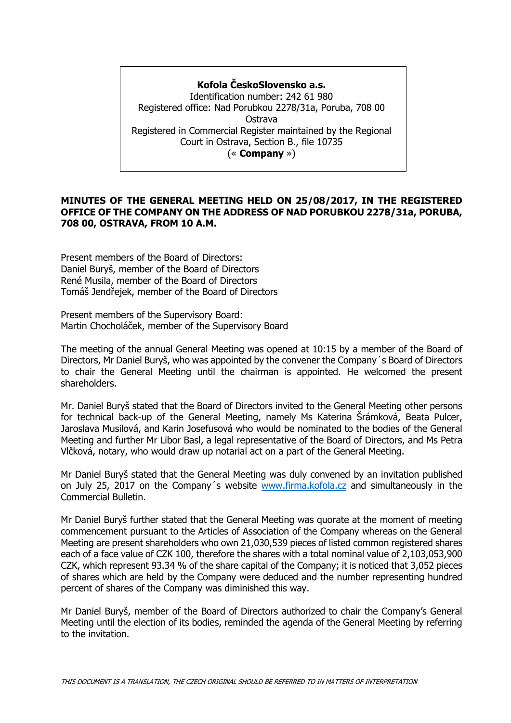## **Kofola ČeskoSlovensko a.s.**

Identification number: 242 61 980 Registered office: Nad Porubkou 2278/31a, Poruba, 708 00 Ostrava Registered in Commercial Register maintained by the Regional Court in Ostrava, Section B., file 10735 (« **Company** »)

### **MINUTES OF THE GENERAL MEETING HELD ON 25/08/2017, IN THE REGISTERED OFFICE OF THE COMPANY ON THE ADDRESS OF NAD PORUBKOU 2278/31a, PORUBA, 708 00, OSTRAVA, FROM 10 A.M.**

Present members of the Board of Directors: Daniel Buryš, member of the Board of Directors René Musila, member of the Board of Directors Tomáš Jendřejek, member of the Board of Directors

Present members of the Supervisory Board: Martin Chocholáček, member of the Supervisory Board

The meeting of the annual General Meeting was opened at 10:15 by a member of the Board of Directors, Mr Daniel Buryš, who was appointed by the convener the Company´s Board of Directors to chair the General Meeting until the chairman is appointed. He welcomed the present shareholders.

Mr. Daniel Buryš stated that the Board of Directors invited to the General Meeting other persons for technical back-up of the General Meeting, namely Ms Katerina Šrámková, Beata Pulcer, Jaroslava Musilová, and Karin Josefusová who would be nominated to the bodies of the General Meeting and further Mr Libor Basl, a legal representative of the Board of Directors, and Ms Petra Vlčková, notary, who would draw up notarial act on a part of the General Meeting.

Mr Daniel Buryš stated that the General Meeting was duly convened by an invitation published on July 25, 2017 on the Company´s website [www.firma.kofola.cz](http://www.firma.kofola.cz/) and simultaneously in the Commercial Bulletin.

Mr Daniel Buryš further stated that the General Meeting was quorate at the moment of meeting commencement pursuant to the Articles of Association of the Company whereas on the General Meeting are present shareholders who own 21,030,539 pieces of listed common registered shares each of a face value of CZK 100, therefore the shares with a total nominal value of 2,103,053,900 CZK, which represent 93.34 % of the share capital of the Company; it is noticed that 3,052 pieces of shares which are held by the Company were deduced and the number representing hundred percent of shares of the Company was diminished this way.

Mr Daniel Buryš, member of the Board of Directors authorized to chair the Company's General Meeting until the election of its bodies, reminded the agenda of the General Meeting by referring to the invitation.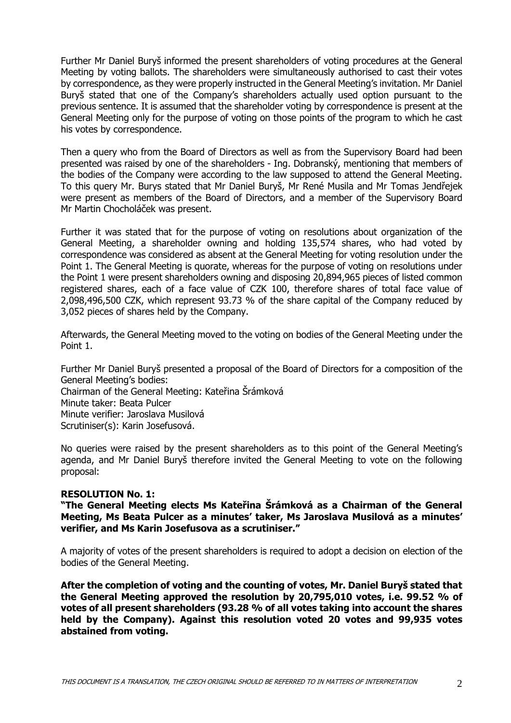Further Mr Daniel Buryš informed the present shareholders of voting procedures at the General Meeting by voting ballots. The shareholders were simultaneously authorised to cast their votes by correspondence, as they were properly instructed in the General Meeting's invitation. Mr Daniel Buryš stated that one of the Company's shareholders actually used option pursuant to the previous sentence. It is assumed that the shareholder voting by correspondence is present at the General Meeting only for the purpose of voting on those points of the program to which he cast his votes by correspondence.

Then a query who from the Board of Directors as well as from the Supervisory Board had been presented was raised by one of the shareholders - Ing. Dobranský, mentioning that members of the bodies of the Company were according to the law supposed to attend the General Meeting. To this query Mr. Burys stated that Mr Daniel Buryš, Mr René Musila and Mr Tomas Jendřejek were present as members of the Board of Directors, and a member of the Supervisory Board Mr Martin Chocholáček was present.

Further it was stated that for the purpose of voting on resolutions about organization of the General Meeting, a shareholder owning and holding 135,574 shares, who had voted by correspondence was considered as absent at the General Meeting for voting resolution under the Point 1. The General Meeting is quorate, whereas for the purpose of voting on resolutions under the Point 1 were present shareholders owning and disposing 20,894,965 pieces of listed common registered shares, each of a face value of CZK 100, therefore shares of total face value of 2,098,496,500 CZK, which represent 93.73 % of the share capital of the Company reduced by 3,052 pieces of shares held by the Company.

Afterwards, the General Meeting moved to the voting on bodies of the General Meeting under the Point 1.

Further Mr Daniel Buryš presented a proposal of the Board of Directors for a composition of the General Meeting's bodies: Chairman of the General Meeting: Kateřina Šrámková Minute taker: Beata Pulcer Minute verifier: Jaroslava Musilová Scrutiniser(s): Karin Josefusová.

No queries were raised by the present shareholders as to this point of the General Meeting's agenda, and Mr Daniel Buryš therefore invited the General Meeting to vote on the following proposal:

### **RESOLUTION No. 1:**

**"The General Meeting elects Ms Kateřina Šrámková as a Chairman of the General Meeting, Ms Beata Pulcer as a minutes' taker, Ms Jaroslava Musilová as a minutes' verifier, and Ms Karin Josefusova as a scrutiniser."**

A majority of votes of the present shareholders is required to adopt a decision on election of the bodies of the General Meeting.

**After the completion of voting and the counting of votes, Mr. Daniel Buryš stated that the General Meeting approved the resolution by 20,795,010 votes, i.e. 99.52 % of votes of all present shareholders (93.28 % of all votes taking into account the shares held by the Company). Against this resolution voted 20 votes and 99,935 votes abstained from voting.**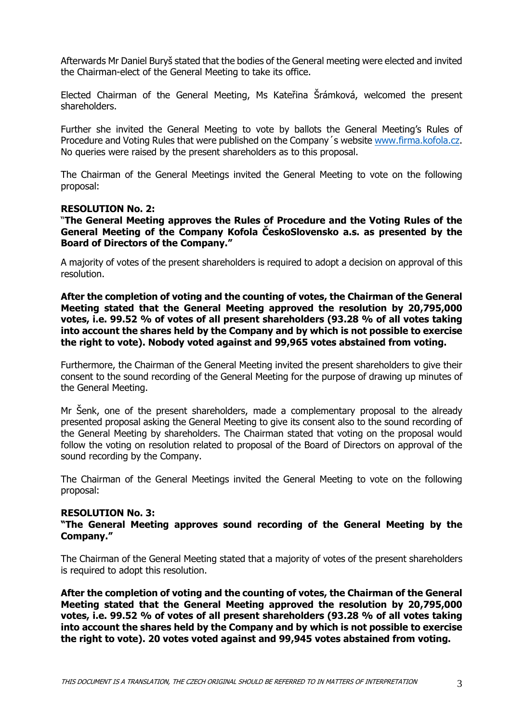Afterwards Mr Daniel Buryš stated that the bodies of the General meeting were elected and invited the Chairman-elect of the General Meeting to take its office.

Elected Chairman of the General Meeting, Ms Kateřina Šrámková, welcomed the present shareholders.

Further she invited the General Meeting to vote by ballots the General Meeting's Rules of Procedure and Voting Rules that were published on the Company´s website [www.firma.kofola.cz.](http://www.firma.kofola.cz/) No queries were raised by the present shareholders as to this proposal.

The Chairman of the General Meetings invited the General Meeting to vote on the following proposal:

### **RESOLUTION No. 2:**

"**The General Meeting approves the Rules of Procedure and the Voting Rules of the General Meeting of the Company Kofola ČeskoSlovensko a.s. as presented by the Board of Directors of the Company."**

A majority of votes of the present shareholders is required to adopt a decision on approval of this resolution.

**After the completion of voting and the counting of votes, the Chairman of the General Meeting stated that the General Meeting approved the resolution by 20,795,000 votes, i.e. 99.52 % of votes of all present shareholders (93.28 % of all votes taking into account the shares held by the Company and by which is not possible to exercise the right to vote). Nobody voted against and 99,965 votes abstained from voting.** 

Furthermore, the Chairman of the General Meeting invited the present shareholders to give their consent to the sound recording of the General Meeting for the purpose of drawing up minutes of the General Meeting.

Mr Šenk, one of the present shareholders, made a complementary proposal to the already presented proposal asking the General Meeting to give its consent also to the sound recording of the General Meeting by shareholders. The Chairman stated that voting on the proposal would follow the voting on resolution related to proposal of the Board of Directors on approval of the sound recording by the Company.

The Chairman of the General Meetings invited the General Meeting to vote on the following proposal:

#### **RESOLUTION No. 3:**

**"The General Meeting approves sound recording of the General Meeting by the Company."** 

The Chairman of the General Meeting stated that a majority of votes of the present shareholders is required to adopt this resolution.

**After the completion of voting and the counting of votes, the Chairman of the General Meeting stated that the General Meeting approved the resolution by 20,795,000 votes, i.e. 99.52 % of votes of all present shareholders (93.28 % of all votes taking into account the shares held by the Company and by which is not possible to exercise the right to vote). 20 votes voted against and 99,945 votes abstained from voting.**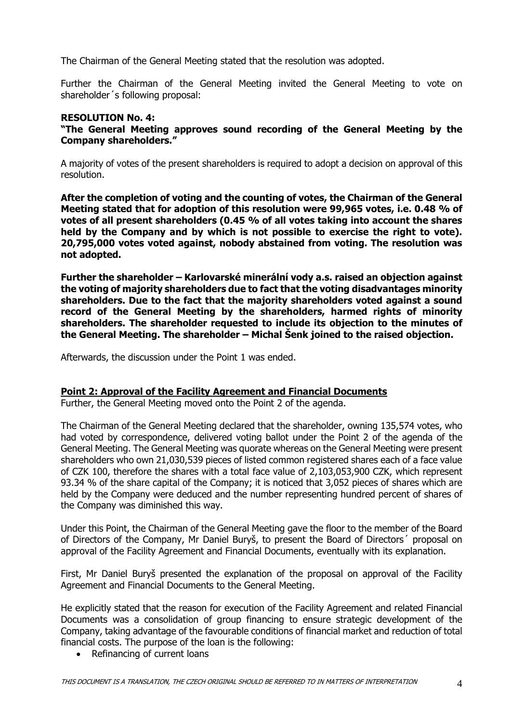The Chairman of the General Meeting stated that the resolution was adopted.

Further the Chairman of the General Meeting invited the General Meeting to vote on shareholder´s following proposal:

# **RESOLUTION No. 4:**

**"The General Meeting approves sound recording of the General Meeting by the Company shareholders."**

A majority of votes of the present shareholders is required to adopt a decision on approval of this resolution.

**After the completion of voting and the counting of votes, the Chairman of the General Meeting stated that for adoption of this resolution were 99,965 votes, i.e. 0.48 % of votes of all present shareholders (0.45 % of all votes taking into account the shares held by the Company and by which is not possible to exercise the right to vote). 20,795,000 votes voted against, nobody abstained from voting. The resolution was not adopted.** 

**Further the shareholder – Karlovarské minerální vody a.s. raised an objection against the voting of majority shareholders due to fact that the voting disadvantages minority shareholders. Due to the fact that the majority shareholders voted against a sound record of the General Meeting by the shareholders, harmed rights of minority shareholders. The shareholder requested to include its objection to the minutes of the General Meeting. The shareholder – Michal Šenk joined to the raised objection.** 

Afterwards, the discussion under the Point 1 was ended.

### **Point 2: Approval of the Facility Agreement and Financial Documents**

Further, the General Meeting moved onto the Point 2 of the agenda.

The Chairman of the General Meeting declared that the shareholder, owning 135,574 votes, who had voted by correspondence, delivered voting ballot under the Point 2 of the agenda of the General Meeting. The General Meeting was quorate whereas on the General Meeting were present shareholders who own 21,030,539 pieces of listed common registered shares each of a face value of CZK 100, therefore the shares with a total face value of 2,103,053,900 CZK, which represent 93.34 % of the share capital of the Company; it is noticed that 3,052 pieces of shares which are held by the Company were deduced and the number representing hundred percent of shares of the Company was diminished this way.

Under this Point, the Chairman of the General Meeting gave the floor to the member of the Board of Directors of the Company, Mr Daniel Buryš, to present the Board of Directors´ proposal on approval of the Facility Agreement and Financial Documents, eventually with its explanation.

First, Mr Daniel Buryš presented the explanation of the proposal on approval of the Facility Agreement and Financial Documents to the General Meeting.

He explicitly stated that the reason for execution of the Facility Agreement and related Financial Documents was a consolidation of group financing to ensure strategic development of the Company, taking advantage of the favourable conditions of financial market and reduction of total financial costs. The purpose of the loan is the following:

• Refinancing of current loans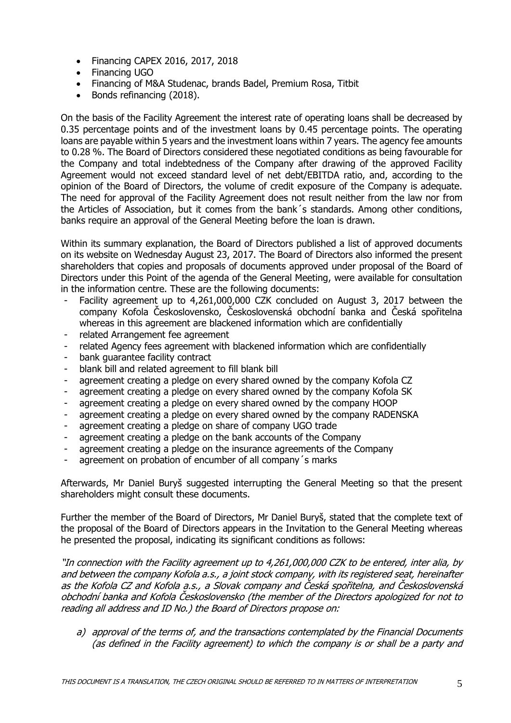- Financing CAPEX 2016, 2017, 2018
- Financing UGO
- Financing of M&A Studenac, brands Badel, Premium Rosa, Titbit
- Bonds refinancing (2018).

On the basis of the Facility Agreement the interest rate of operating loans shall be decreased by 0.35 percentage points and of the investment loans by 0.45 percentage points. The operating loans are payable within 5 years and the investment loans within 7 years. The agency fee amounts to 0.28 %. The Board of Directors considered these negotiated conditions as being favourable for the Company and total indebtedness of the Company after drawing of the approved Facility Agreement would not exceed standard level of net debt/EBITDA ratio, and, according to the opinion of the Board of Directors, the volume of credit exposure of the Company is adequate. The need for approval of the Facility Agreement does not result neither from the law nor from the Articles of Association, but it comes from the bank´s standards. Among other conditions, banks require an approval of the General Meeting before the loan is drawn.

Within its summary explanation, the Board of Directors published a list of approved documents on its website on Wednesday August 23, 2017. The Board of Directors also informed the present shareholders that copies and proposals of documents approved under proposal of the Board of Directors under this Point of the agenda of the General Meeting, were available for consultation in the information centre. These are the following documents:

- Facility agreement up to 4,261,000,000 CZK concluded on August 3, 2017 between the company Kofola Československo, Československá obchodní banka and Česká spořitelna whereas in this agreement are blackened information which are confidentially
- related Arrangement fee agreement
- related Agency fees agreement with blackened information which are confidentially
- bank guarantee facility contract
- blank bill and related agreement to fill blank bill
- agreement creating a pledge on every shared owned by the company Kofola CZ
- agreement creating a pledge on every shared owned by the company Kofola SK
- agreement creating a pledge on every shared owned by the company HOOP
- agreement creating a pledge on every shared owned by the company RADENSKA
- agreement creating a pledge on share of company UGO trade
- agreement creating a pledge on the bank accounts of the Company
- agreement creating a pledge on the insurance agreements of the Company
- agreement on probation of encumber of all company's marks

Afterwards, Mr Daniel Buryš suggested interrupting the General Meeting so that the present shareholders might consult these documents.

Further the member of the Board of Directors, Mr Daniel Buryš, stated that the complete text of the proposal of the Board of Directors appears in the Invitation to the General Meeting whereas he presented the proposal, indicating its significant conditions as follows:

"In connection with the Facility agreement up to 4,261,000,000 CZK to be entered, inter alia, by and between the company Kofola a.s., a joint stock company, with its registered seat, hereinafter as the Kofola CZ and Kofola a.s., a Slovak company and Česká spořitelna, and Československá obchodní banka and Kofola Československo (the member of the Directors apologized for not to reading all address and ID No.) the Board of Directors propose on:

a) approval of the terms of, and the transactions contemplated by the Financial Documents (as defined in the Facility agreement) to which the company is or shall be a party and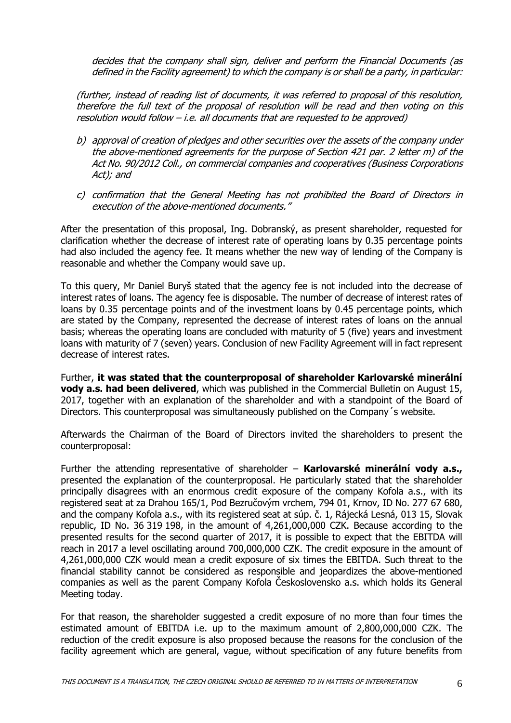decides that the company shall sign, deliver and perform the Financial Documents (as defined in the Facility agreement) to which the company is or shall be a party, in particular:

(further, instead of reading list of documents, it was referred to proposal of this resolution, therefore the full text of the proposal of resolution will be read and then voting on this resolution would follow – i.e. all documents that are requested to be approved)

- b) approval of creation of pledges and other securities over the assets of the company under the above-mentioned agreements for the purpose of Section 421 par. 2 letter m) of the Act No. 90/2012 Coll., on commercial companies and cooperatives (Business Corporations Act); and
- c) confirmation that the General Meeting has not prohibited the Board of Directors in execution of the above-mentioned documents."

After the presentation of this proposal, Ing. Dobranský, as present shareholder, requested for clarification whether the decrease of interest rate of operating loans by 0.35 percentage points had also included the agency fee. It means whether the new way of lending of the Company is reasonable and whether the Company would save up.

To this query, Mr Daniel Buryš stated that the agency fee is not included into the decrease of interest rates of loans. The agency fee is disposable. The number of decrease of interest rates of loans by 0.35 percentage points and of the investment loans by 0.45 percentage points, which are stated by the Company, represented the decrease of interest rates of loans on the annual basis; whereas the operating loans are concluded with maturity of 5 (five) years and investment loans with maturity of 7 (seven) years. Conclusion of new Facility Agreement will in fact represent decrease of interest rates.

Further, **it was stated that the counterproposal of shareholder Karlovarské minerální vody a.s. had been delivered**, which was published in the Commercial Bulletin on August 15, 2017, together with an explanation of the shareholder and with a standpoint of the Board of Directors. This counterproposal was simultaneously published on the Company´s website.

Afterwards the Chairman of the Board of Directors invited the shareholders to present the counterproposal:

Further the attending representative of shareholder – **Karlovarské minerální vody a.s.,** presented the explanation of the counterproposal. He particularly stated that the shareholder principally disagrees with an enormous credit exposure of the company Kofola a.s., with its registered seat at za Drahou 165/1, Pod Bezručovým vrchem, 794 01, Krnov, ID No. 277 67 680, and the company Kofola a.s., with its registered seat at súp. č. 1, Rájecká Lesná, 013 15, Slovak republic, ID No. 36 319 198, in the amount of 4,261,000,000 CZK. Because according to the presented results for the second quarter of 2017, it is possible to expect that the EBITDA will reach in 2017 a level oscillating around 700,000,000 CZK. The credit exposure in the amount of 4,261,000,000 CZK would mean a credit exposure of six times the EBITDA. Such threat to the financial stability cannot be considered as responsible and jeopardizes the above-mentioned companies as well as the parent Company Kofola Československo a.s. which holds its General Meeting today.

For that reason, the shareholder suggested a credit exposure of no more than four times the estimated amount of EBITDA i.e. up to the maximum amount of 2,800,000,000 CZK. The reduction of the credit exposure is also proposed because the reasons for the conclusion of the facility agreement which are general, vague, without specification of any future benefits from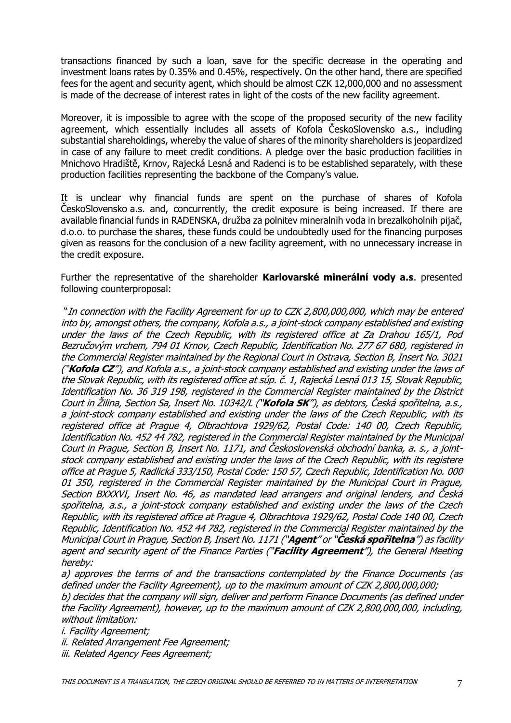transactions financed by such a loan, save for the specific decrease in the operating and investment loans rates by 0.35% and 0.45%, respectively. On the other hand, there are specified fees for the agent and security agent, which should be almost CZK 12,000,000 and no assessment is made of the decrease of interest rates in light of the costs of the new facility agreement.

Moreover, it is impossible to agree with the scope of the proposed security of the new facility agreement, which essentially includes all assets of Kofola ČeskoSlovensko a.s., including substantial shareholdings, whereby the value of shares of the minority shareholders is jeopardized in case of any failure to meet credit conditions. A pledge over the basic production facilities in Mnichovo Hradiště, Krnov, Rajecká Lesná and Radenci is to be established separately, with these production facilities representing the backbone of the Company's value.

It is unclear why financial funds are spent on the purchase of shares of Kofola ČeskoSlovensko a.s. and, concurrently, the credit exposure is being increased. If there are available financial funds in RADENSKA, družba za polnitev mineralnih voda in brezalkoholnih pijač, d.o.o. to purchase the shares, these funds could be undoubtedly used for the financing purposes given as reasons for the conclusion of a new facility agreement, with no unnecessary increase in the credit exposure.

Further the representative of the shareholder **Karlovarské minerální vody a.s**. presented following counterproposal:

"In connection with the Facility Agreement for up to CZK 2,800,000,000, which may be entered into by, amongst others, the company, Kofola a.s., a joint-stock company established and existing under the laws of the Czech Republic, with its registered office at Za Drahou 165/1, Pod Bezručovým vrchem, 794 01 Krnov, Czech Republic, Identification No. 277 67 680, registered in the Commercial Register maintained by the Regional Court in Ostrava, Section B, Insert No. 3021 ("**Kofola CZ**"), and Kofola a.s., a joint-stock company established and existing under the laws of the Slovak Republic, with its registered office at súp. č. 1, Rajecká Lesná 013 15, Slovak Republic, Identification No. 36 319 198, registered in the Commercial Register maintained by the District Court in Žilina, Section Sa, Insert No. 10342/L ("**Kofola SK**"), as debtors, Česká spořitelna, a.s., a joint-stock company established and existing under the laws of the Czech Republic, with its registered office at Prague 4, Olbrachtova 1929/62, Postal Code: 140 00, Czech Republic, Identification No. 452 44 782, registered in the Commercial Register maintained by the Municipal Court in Prague, Section B, Insert No. 1171, and Československá obchodní banka, a. s., a jointstock company established and existing under the laws of the Czech Republic, with its registere office at Prague 5, Radlická 333/150, Postal Code: 150 57, Czech Republic, Identification No. 000 01 350, registered in the Commercial Register maintained by the Municipal Court in Prague, Section BXXXVI, Insert No. 46, as mandated lead arrangers and original lenders, and Česká spořitelna, a.s., a joint-stock company established and existing under the laws of the Czech Republic, with its registered office at Prague 4, Olbrachtova 1929/62, Postal Code 140 00, Czech Republic, Identification No. 452 44 782, registered in the Commercial Register maintained by the Municipal Court in Prague, Section B, Insert No. 1171 ("**Agent**" or "**Česká spořitelna**") as facility agent and security agent of the Finance Parties ("**Facility Agreement**"), the General Meeting hereby:

a) approves the terms of and the transactions contemplated by the Finance Documents (as defined under the Facility Agreement), up to the maximum amount of CZK 2,800,000,000;

b) decides that the company will sign, deliver and perform Finance Documents (as defined under the Facility Agreement), however, up to the maximum amount of CZK 2,800,000,000, including, without limitation:

i. Facility Agreement;

ii. Related Arrangement Fee Agreement;

iii. Related Agency Fees Agreement;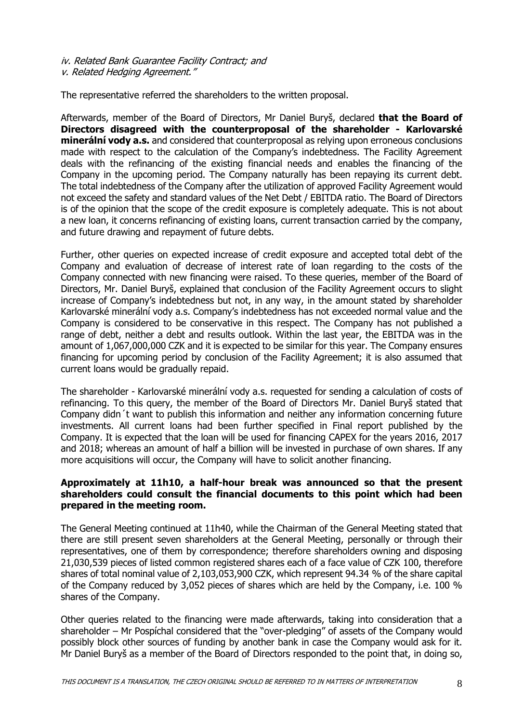iv. Related Bank Guarantee Facility Contract; and v. Related Hedging Agreement."

The representative referred the shareholders to the written proposal.

Afterwards, member of the Board of Directors, Mr Daniel Buryš, declared **that the Board of Directors disagreed with the counterproposal of the shareholder - Karlovarské minerální vody a.s.** and considered that counterproposal as relying upon erroneous conclusions made with respect to the calculation of the Company's indebtedness. The Facility Agreement deals with the refinancing of the existing financial needs and enables the financing of the Company in the upcoming period. The Company naturally has been repaying its current debt. The total indebtedness of the Company after the utilization of approved Facility Agreement would not exceed the safety and standard values of the Net Debt / EBITDA ratio. The Board of Directors is of the opinion that the scope of the credit exposure is completely adequate. This is not about a new loan, it concerns refinancing of existing loans, current transaction carried by the company, and future drawing and repayment of future debts.

Further, other queries on expected increase of credit exposure and accepted total debt of the Company and evaluation of decrease of interest rate of loan regarding to the costs of the Company connected with new financing were raised. To these queries, member of the Board of Directors, Mr. Daniel Buryš, explained that conclusion of the Facility Agreement occurs to slight increase of Company's indebtedness but not, in any way, in the amount stated by shareholder Karlovarské minerální vody a.s. Company's indebtedness has not exceeded normal value and the Company is considered to be conservative in this respect. The Company has not published a range of debt, neither a debt and results outlook. Within the last year, the EBITDA was in the amount of 1,067,000,000 CZK and it is expected to be similar for this year. The Company ensures financing for upcoming period by conclusion of the Facility Agreement; it is also assumed that current loans would be gradually repaid.

The shareholder - Karlovarské minerální vody a.s. requested for sending a calculation of costs of refinancing. To this query, the member of the Board of Directors Mr. Daniel Buryš stated that Company didn´t want to publish this information and neither any information concerning future investments. All current loans had been further specified in Final report published by the Company. It is expected that the loan will be used for financing CAPEX for the years 2016, 2017 and 2018; whereas an amount of half a billion will be invested in purchase of own shares. If any more acquisitions will occur, the Company will have to solicit another financing.

### **Approximately at 11h10, a half-hour break was announced so that the present shareholders could consult the financial documents to this point which had been prepared in the meeting room.**

The General Meeting continued at 11h40, while the Chairman of the General Meeting stated that there are still present seven shareholders at the General Meeting, personally or through their representatives, one of them by correspondence; therefore shareholders owning and disposing 21,030,539 pieces of listed common registered shares each of a face value of CZK 100, therefore shares of total nominal value of 2,103,053,900 CZK, which represent 94.34 % of the share capital of the Company reduced by 3,052 pieces of shares which are held by the Company, i.e. 100 % shares of the Company.

Other queries related to the financing were made afterwards, taking into consideration that a shareholder – Mr Pospíchal considered that the "over-pledging" of assets of the Company would possibly block other sources of funding by another bank in case the Company would ask for it. Mr Daniel Buryš as a member of the Board of Directors responded to the point that, in doing so,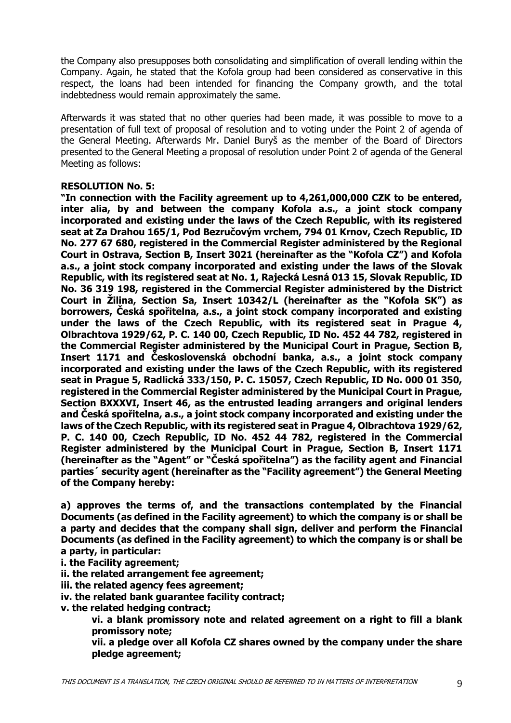the Company also presupposes both consolidating and simplification of overall lending within the Company. Again, he stated that the Kofola group had been considered as conservative in this respect, the loans had been intended for financing the Company growth, and the total indebtedness would remain approximately the same.

Afterwards it was stated that no other queries had been made, it was possible to move to a presentation of full text of proposal of resolution and to voting under the Point 2 of agenda of the General Meeting. Afterwards Mr. Daniel Buryš as the member of the Board of Directors presented to the General Meeting a proposal of resolution under Point 2 of agenda of the General Meeting as follows:

### **RESOLUTION No. 5:**

**"In connection with the Facility agreement up to 4,261,000,000 CZK to be entered, inter alia, by and between the company Kofola a.s., a joint stock company incorporated and existing under the laws of the Czech Republic, with its registered seat at Za Drahou 165/1, Pod Bezručovým vrchem, 794 01 Krnov, Czech Republic, ID No. 277 67 680, registered in the Commercial Register administered by the Regional Court in Ostrava, Section B, Insert 3021 (hereinafter as the "Kofola CZ") and Kofola a.s., a joint stock company incorporated and existing under the laws of the Slovak Republic, with its registered seat at No. 1, Rajecká Lesná 013 15, Slovak Republic, ID No. 36 319 198, registered in the Commercial Register administered by the District Court in Žilina, Section Sa, Insert 10342/L (hereinafter as the "Kofola SK") as borrowers, Česká spořitelna, a.s., a joint stock company incorporated and existing under the laws of the Czech Republic, with its registered seat in Prague 4, Olbrachtova 1929/62, P. C. 140 00, Czech Republic, ID No. 452 44 782, registered in the Commercial Register administered by the Municipal Court in Prague, Section B, Insert 1171 and Československá obchodní banka, a.s., a joint stock company incorporated and existing under the laws of the Czech Republic, with its registered seat in Prague 5, Radlická 333/150, P. C. 15057, Czech Republic, ID No. 000 01 350, registered in the Commercial Register administered by the Municipal Court in Prague, Section BXXXVI, Insert 46, as the entrusted leading arrangers and original lenders and Česká spořitelna, a.s., a joint stock company incorporated and existing under the laws of the Czech Republic, with its registered seat in Prague 4, Olbrachtova 1929/62, P. C. 140 00, Czech Republic, ID No. 452 44 782, registered in the Commercial Register administered by the Municipal Court in Prague, Section B, Insert 1171 (hereinafter as the "Agent" or "Česká spořitelna") as the facility agent and Financial parties´ security agent (hereinafter as the "Facility agreement") the General Meeting of the Company hereby:** 

**a) approves the terms of, and the transactions contemplated by the Financial Documents (as defined in the Facility agreement) to which the company is or shall be a party and decides that the company shall sign, deliver and perform the Financial Documents (as defined in the Facility agreement) to which the company is or shall be a party, in particular:** 

**i. the Facility agreement;** 

**ii. the related arrangement fee agreement;** 

**iii. the related agency fees agreement;** 

**iv. the related bank guarantee facility contract;** 

**v. the related hedging contract;** 

**vi. a blank promissory note and related agreement on a right to fill a blank promissory note;** 

**vii. a pledge over all Kofola CZ shares owned by the company under the share pledge agreement;**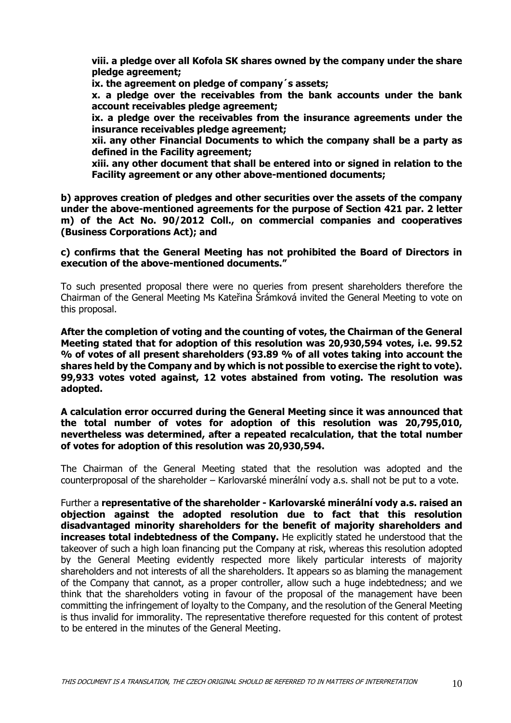**viii. a pledge over all Kofola SK shares owned by the company under the share pledge agreement;** 

**ix. the agreement on pledge of company´s assets;** 

**x. a pledge over the receivables from the bank accounts under the bank account receivables pledge agreement;** 

**ix. a pledge over the receivables from the insurance agreements under the insurance receivables pledge agreement;** 

**xii. any other Financial Documents to which the company shall be a party as defined in the Facility agreement;** 

**xiii. any other document that shall be entered into or signed in relation to the Facility agreement or any other above-mentioned documents;** 

**b) approves creation of pledges and other securities over the assets of the company under the above-mentioned agreements for the purpose of Section 421 par. 2 letter m) of the Act No. 90/2012 Coll., on commercial companies and cooperatives (Business Corporations Act); and** 

#### **c) confirms that the General Meeting has not prohibited the Board of Directors in execution of the above-mentioned documents."**

To such presented proposal there were no queries from present shareholders therefore the Chairman of the General Meeting Ms Kateřina Šrámková invited the General Meeting to vote on this proposal.

**After the completion of voting and the counting of votes, the Chairman of the General Meeting stated that for adoption of this resolution was 20,930,594 votes, i.e. 99.52 % of votes of all present shareholders (93.89 % of all votes taking into account the shares held by the Company and by which is not possible to exercise the right to vote). 99,933 votes voted against, 12 votes abstained from voting. The resolution was adopted.** 

### **A calculation error occurred during the General Meeting since it was announced that the total number of votes for adoption of this resolution was 20,795,010, nevertheless was determined, after a repeated recalculation, that the total number of votes for adoption of this resolution was 20,930,594.**

The Chairman of the General Meeting stated that the resolution was adopted and the counterproposal of the shareholder – Karlovarské minerální vody a.s. shall not be put to a vote.

Further a **representative of the shareholder - Karlovarské minerální vody a.s. raised an objection against the adopted resolution due to fact that this resolution disadvantaged minority shareholders for the benefit of majority shareholders and increases total indebtedness of the Company.** He explicitly stated he understood that the takeover of such a high loan financing put the Company at risk, whereas this resolution adopted by the General Meeting evidently respected more likely particular interests of majority shareholders and not interests of all the shareholders. It appears so as blaming the management of the Company that cannot, as a proper controller, allow such a huge indebtedness; and we think that the shareholders voting in favour of the proposal of the management have been committing the infringement of loyalty to the Company, and the resolution of the General Meeting is thus invalid for immorality. The representative therefore requested for this content of protest to be entered in the minutes of the General Meeting.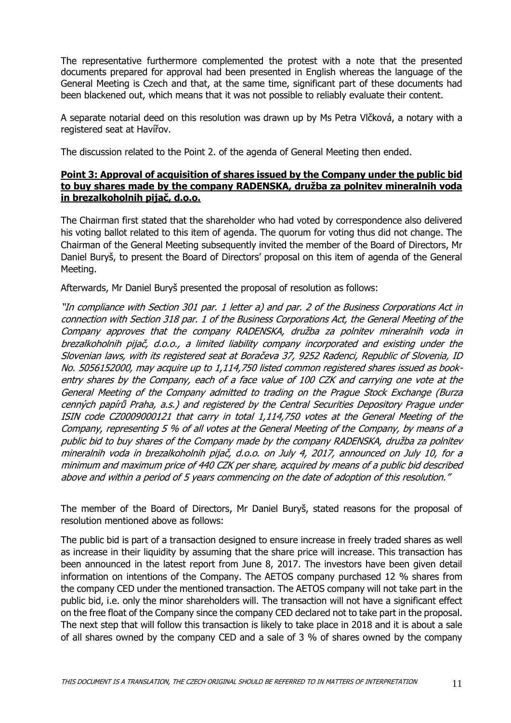The representative furthermore complemented the protest with a note that the presented documents prepared for approval had been presented in English whereas the language of the General Meeting is Czech and that, at the same time, significant part of these documents had been blackened out, which means that it was not possible to reliably evaluate their content.

A separate notarial deed on this resolution was drawn up by Ms Petra Vlčková, a notary with a registered seat at Havířov.

The discussion related to the Point 2. of the agenda of General Meeting then ended.

# **Point 3: Approval of acquisition of shares issued by the Company under the public bid to buy shares made by the company RADENSKA, družba za polnitev mineralnih voda in brezalkoholnih pijač, d.o.o.**

The Chairman first stated that the shareholder who had voted by correspondence also delivered his voting ballot related to this item of agenda. The quorum for voting thus did not change. The Chairman of the General Meeting subsequently invited the member of the Board of Directors, Mr Daniel Buryš, to present the Board of Directors' proposal on this item of agenda of the General Meeting.

Afterwards, Mr Daniel Buryš presented the proposal of resolution as follows:

"In compliance with Section 301 par. 1 letter a) and par. 2 of the Business Corporations Act in connection with Section 318 par. 1 of the Business Corporations Act, the General Meeting of the Company approves that the company RADENSKA, družba za polnitev mineralnih voda in brezalkoholnih pijač, d.o.o., a limited liability company incorporated and existing under the Slovenian laws, with its registered seat at Boračeva 37, 9252 Radenci, Republic of Slovenia, ID No. 5056152000, may acquire up to 1,114,750 listed common registered shares issued as bookentry shares by the Company, each of a face value of 100 CZK and carrying one vote at the General Meeting of the Company admitted to trading on the Prague Stock Exchange (Burza cenných papírů Praha, a.s.) and registered by the Central Securities Depository Prague under ISIN code CZ0009000121 that carry in total 1,114,750 votes at the General Meeting of the Company, representing 5 % of all votes at the General Meeting of the Company, by means of a public bid to buy shares of the Company made by the company RADENSKA, družba za polnitev mineralnih voda in brezalkoholnih pijač, d.o.o. on July 4, 2017, announced on July 10, for a minimum and maximum price of 440 CZK per share, acquired by means of a public bid described above and within a period of 5 years commencing on the date of adoption of this resolution."

The member of the Board of Directors, Mr Daniel Buryš, stated reasons for the proposal of resolution mentioned above as follows:

The public bid is part of a transaction designed to ensure increase in freely traded shares as well as increase in their liquidity by assuming that the share price will increase. This transaction has been announced in the latest report from June 8, 2017. The investors have been given detail information on intentions of the Company. The AETOS company purchased 12 % shares from the company CED under the mentioned transaction. The AETOS company will not take part in the public bid, i.e. only the minor shareholders will. The transaction will not have a significant effect on the free float of the Company since the company CED declared not to take part in the proposal. The next step that will follow this transaction is likely to take place in 2018 and it is about a sale of all shares owned by the company CED and a sale of 3 % of shares owned by the company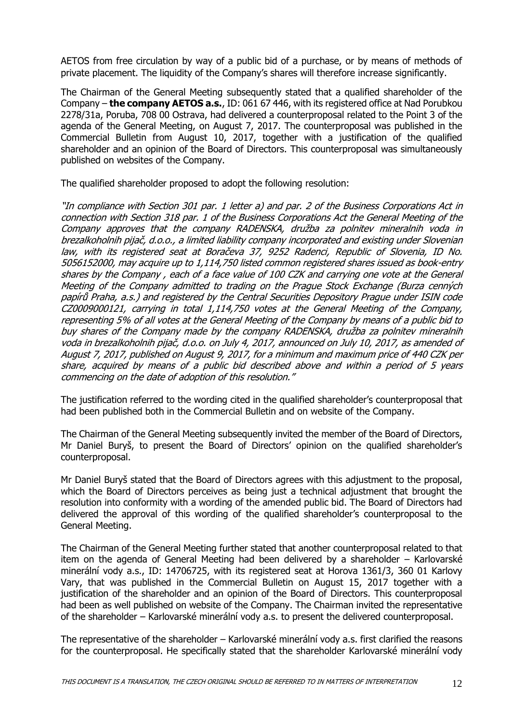AETOS from free circulation by way of a public bid of a purchase, or by means of methods of private placement. The liquidity of the Company's shares will therefore increase significantly.

The Chairman of the General Meeting subsequently stated that a qualified shareholder of the Company – **the company AETOS a.s.**, ID: 061 67 446, with its registered office at Nad Porubkou 2278/31a, Poruba, 708 00 Ostrava, had delivered a counterproposal related to the Point 3 of the agenda of the General Meeting, on August 7, 2017. The counterproposal was published in the Commercial Bulletin from August 10, 2017, together with a justification of the qualified shareholder and an opinion of the Board of Directors. This counterproposal was simultaneously published on websites of the Company.

The qualified shareholder proposed to adopt the following resolution:

"In compliance with Section 301 par. 1 letter a) and par. 2 of the Business Corporations Act in connection with Section 318 par. 1 of the Business Corporations Act the General Meeting of the Company approves that the company RADENSKA, družba za polnitev mineralnih voda in brezalkoholnih pijač, d.o.o., a limited liability company incorporated and existing under Slovenian law, with its registered seat at Boračeva 37, 9252 Radenci, Republic of Slovenia, ID No. 5056152000, may acquire up to 1,114,750 listed common registered shares issued as book-entry shares by the Company , each of a face value of 100 CZK and carrying one vote at the General Meeting of the Company admitted to trading on the Prague Stock Exchange (Burza cenných papírů Praha, a.s.) and registered by the Central Securities Depository Prague under ISIN code CZ0009000121, carrying in total 1,114,750 votes at the General Meeting of the Company, representing 5% of all votes at the General Meeting of the Company by means of a public bid to buy shares of the Company made by the company RADENSKA, družba za polnitev mineralnih voda in brezalkoholnih pijač, d.o.o. on July 4, 2017, announced on July 10, 2017, as amended of August 7, 2017, published on August 9, 2017, for a minimum and maximum price of 440 CZK per share, acquired by means of a public bid described above and within a period of 5 years commencing on the date of adoption of this resolution."

The justification referred to the wording cited in the qualified shareholder's counterproposal that had been published both in the Commercial Bulletin and on website of the Company.

The Chairman of the General Meeting subsequently invited the member of the Board of Directors, Mr Daniel Buryš, to present the Board of Directors' opinion on the qualified shareholder's counterproposal.

Mr Daniel Buryš stated that the Board of Directors agrees with this adjustment to the proposal, which the Board of Directors perceives as being just a technical adjustment that brought the resolution into conformity with a wording of the amended public bid. The Board of Directors had delivered the approval of this wording of the qualified shareholder's counterproposal to the General Meeting.

The Chairman of the General Meeting further stated that another counterproposal related to that item on the agenda of General Meeting had been delivered by a shareholder – Karlovarské minerální vody a.s., ID: 14706725, with its registered seat at Horova 1361/3, 360 01 Karlovy Vary, that was published in the Commercial Bulletin on August 15, 2017 together with a justification of the shareholder and an opinion of the Board of Directors. This counterproposal had been as well published on website of the Company. The Chairman invited the representative of the shareholder – Karlovarské minerální vody a.s. to present the delivered counterproposal.

The representative of the shareholder – Karlovarské minerální vody a.s. first clarified the reasons for the counterproposal. He specifically stated that the shareholder Karlovarské minerální vody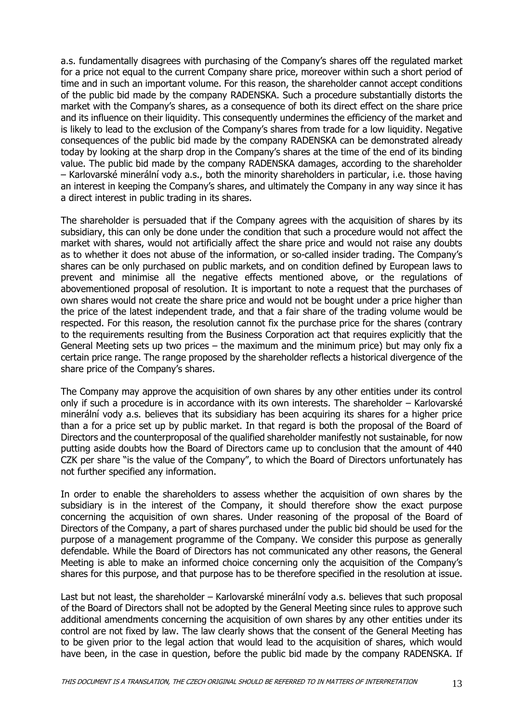a.s. fundamentally disagrees with purchasing of the Company's shares off the regulated market for a price not equal to the current Company share price, moreover within such a short period of time and in such an important volume. For this reason, the shareholder cannot accept conditions of the public bid made by the company RADENSKA. Such a procedure substantially distorts the market with the Company's shares, as a consequence of both its direct effect on the share price and its influence on their liquidity. This consequently undermines the efficiency of the market and is likely to lead to the exclusion of the Company's shares from trade for a low liquidity. Negative consequences of the public bid made by the company RADENSKA can be demonstrated already today by looking at the sharp drop in the Company's shares at the time of the end of its binding value. The public bid made by the company RADENSKA damages, according to the shareholder – Karlovarské minerální vody a.s., both the minority shareholders in particular, i.e. those having an interest in keeping the Company's shares, and ultimately the Company in any way since it has a direct interest in public trading in its shares.

The shareholder is persuaded that if the Company agrees with the acquisition of shares by its subsidiary, this can only be done under the condition that such a procedure would not affect the market with shares, would not artificially affect the share price and would not raise any doubts as to whether it does not abuse of the information, or so-called insider trading. The Company's shares can be only purchased on public markets, and on condition defined by European laws to prevent and minimise all the negative effects mentioned above, or the regulations of abovementioned proposal of resolution. It is important to note a request that the purchases of own shares would not create the share price and would not be bought under a price higher than the price of the latest independent trade, and that a fair share of the trading volume would be respected. For this reason, the resolution cannot fix the purchase price for the shares (contrary to the requirements resulting from the Business Corporation act that requires explicitly that the General Meeting sets up two prices – the maximum and the minimum price) but may only fix a certain price range. The range proposed by the shareholder reflects a historical divergence of the share price of the Company's shares.

The Company may approve the acquisition of own shares by any other entities under its control only if such a procedure is in accordance with its own interests. The shareholder – Karlovarské minerální vody a.s. believes that its subsidiary has been acquiring its shares for a higher price than a for a price set up by public market. In that regard is both the proposal of the Board of Directors and the counterproposal of the qualified shareholder manifestly not sustainable, for now putting aside doubts how the Board of Directors came up to conclusion that the amount of 440 CZK per share "is the value of the Company", to which the Board of Directors unfortunately has not further specified any information.

In order to enable the shareholders to assess whether the acquisition of own shares by the subsidiary is in the interest of the Company, it should therefore show the exact purpose concerning the acquisition of own shares. Under reasoning of the proposal of the Board of Directors of the Company, a part of shares purchased under the public bid should be used for the purpose of a management programme of the Company. We consider this purpose as generally defendable. While the Board of Directors has not communicated any other reasons, the General Meeting is able to make an informed choice concerning only the acquisition of the Company's shares for this purpose, and that purpose has to be therefore specified in the resolution at issue.

Last but not least, the shareholder – Karlovarské minerální vody a.s. believes that such proposal of the Board of Directors shall not be adopted by the General Meeting since rules to approve such additional amendments concerning the acquisition of own shares by any other entities under its control are not fixed by law. The law clearly shows that the consent of the General Meeting has to be given prior to the legal action that would lead to the acquisition of shares, which would have been, in the case in question, before the public bid made by the company RADENSKA. If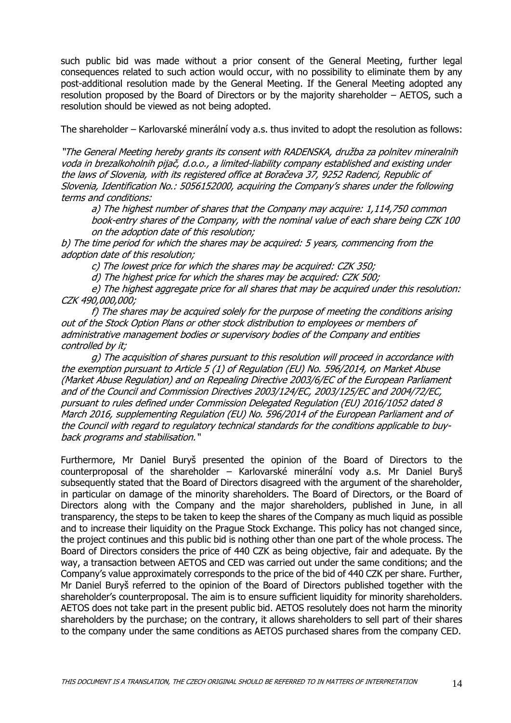such public bid was made without a prior consent of the General Meeting, further legal consequences related to such action would occur, with no possibility to eliminate them by any post-additional resolution made by the General Meeting. If the General Meeting adopted any resolution proposed by the Board of Directors or by the majority shareholder – AETOS, such a resolution should be viewed as not being adopted.

The shareholder – Karlovarské minerální vody a.s. thus invited to adopt the resolution as follows:

"The General Meeting hereby grants its consent with RADENSKA, družba za polnitev mineralnih voda in brezalkoholnih pijač, d.o.o., a limited-liability company established and existing under the laws of Slovenia, with its registered office at Boračeva 37, 9252 Radenci, Republic of Slovenia, Identification No.: 5056152000, acquiring the Company's shares under the following terms and conditions:

a) The highest number of shares that the Company may acquire: 1,114,750 common book-entry shares of the Company, with the nominal value of each share being CZK 100 on the adoption date of this resolution;

b) The time period for which the shares may be acquired: 5 years, commencing from the adoption date of this resolution;

c) The lowest price for which the shares may be acquired: CZK 350;

d) The highest price for which the shares may be acquired: CZK 500;

e) The highest aggregate price for all shares that may be acquired under this resolution: CZK 490,000,000;

f) The shares may be acquired solely for the purpose of meeting the conditions arising out of the Stock Option Plans or other stock distribution to employees or members of administrative management bodies or supervisory bodies of the Company and entities controlled by it;

g) The acquisition of shares pursuant to this resolution will proceed in accordance with the exemption pursuant to Article 5 (1) of Regulation (EU) No. 596/2014, on Market Abuse (Market Abuse Regulation) and on Repealing Directive 2003/6/EC of the European Parliament and of the Council and Commission Directives 2003/124/EC, 2003/125/EC and 2004/72/EC, pursuant to rules defined under Commission Delegated Regulation (EU) 2016/1052 dated 8 March 2016, supplementing Regulation (EU) No. 596/2014 of the European Parliament and of the Council with regard to regulatory technical standards for the conditions applicable to buyback programs and stabilisation."

Furthermore, Mr Daniel Buryš presented the opinion of the Board of Directors to the counterproposal of the shareholder – Karlovarské minerální vody a.s. Mr Daniel Buryš subsequently stated that the Board of Directors disagreed with the argument of the shareholder, in particular on damage of the minority shareholders. The Board of Directors, or the Board of Directors along with the Company and the major shareholders, published in June, in all transparency, the steps to be taken to keep the shares of the Company as much liquid as possible and to increase their liquidity on the Prague Stock Exchange. This policy has not changed since, the project continues and this public bid is nothing other than one part of the whole process. The Board of Directors considers the price of 440 CZK as being objective, fair and adequate. By the way, a transaction between AETOS and CED was carried out under the same conditions; and the Company's value approximately corresponds to the price of the bid of 440 CZK per share. Further, Mr Daniel Buryš referred to the opinion of the Board of Directors published together with the shareholder's counterproposal. The aim is to ensure sufficient liquidity for minority shareholders. AETOS does not take part in the present public bid. AETOS resolutely does not harm the minority shareholders by the purchase; on the contrary, it allows shareholders to sell part of their shares to the company under the same conditions as AETOS purchased shares from the company CED.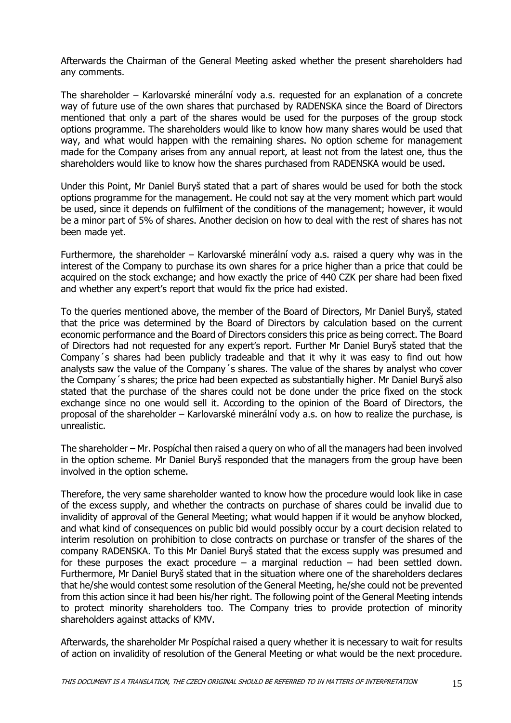Afterwards the Chairman of the General Meeting asked whether the present shareholders had any comments.

The shareholder – Karlovarské minerální vody a.s. requested for an explanation of a concrete way of future use of the own shares that purchased by RADENSKA since the Board of Directors mentioned that only a part of the shares would be used for the purposes of the group stock options programme. The shareholders would like to know how many shares would be used that way, and what would happen with the remaining shares. No option scheme for management made for the Company arises from any annual report, at least not from the latest one, thus the shareholders would like to know how the shares purchased from RADENSKA would be used.

Under this Point, Mr Daniel Buryš stated that a part of shares would be used for both the stock options programme for the management. He could not say at the very moment which part would be used, since it depends on fulfilment of the conditions of the management; however, it would be a minor part of 5% of shares. Another decision on how to deal with the rest of shares has not been made yet.

Furthermore, the shareholder – Karlovarské minerální vody a.s. raised a query why was in the interest of the Company to purchase its own shares for a price higher than a price that could be acquired on the stock exchange; and how exactly the price of 440 CZK per share had been fixed and whether any expert's report that would fix the price had existed.

To the queries mentioned above, the member of the Board of Directors, Mr Daniel Buryš, stated that the price was determined by the Board of Directors by calculation based on the current economic performance and the Board of Directors considers this price as being correct. The Board of Directors had not requested for any expert's report. Further Mr Daniel Buryš stated that the Company´s shares had been publicly tradeable and that it why it was easy to find out how analysts saw the value of the Company´s shares. The value of the shares by analyst who cover the Company´s shares; the price had been expected as substantially higher. Mr Daniel Buryš also stated that the purchase of the shares could not be done under the price fixed on the stock exchange since no one would sell it. According to the opinion of the Board of Directors, the proposal of the shareholder – Karlovarské minerální vody a.s. on how to realize the purchase, is unrealistic.

The shareholder – Mr. Pospíchal then raised a query on who of all the managers had been involved in the option scheme. Mr Daniel Buryš responded that the managers from the group have been involved in the option scheme.

Therefore, the very same shareholder wanted to know how the procedure would look like in case of the excess supply, and whether the contracts on purchase of shares could be invalid due to invalidity of approval of the General Meeting; what would happen if it would be anyhow blocked, and what kind of consequences on public bid would possibly occur by a court decision related to interim resolution on prohibition to close contracts on purchase or transfer of the shares of the company RADENSKA. To this Mr Daniel Buryš stated that the excess supply was presumed and for these purposes the exact procedure  $-$  a marginal reduction  $-$  had been settled down. Furthermore, Mr Daniel Buryš stated that in the situation where one of the shareholders declares that he/she would contest some resolution of the General Meeting, he/she could not be prevented from this action since it had been his/her right. The following point of the General Meeting intends to protect minority shareholders too. The Company tries to provide protection of minority shareholders against attacks of KMV.

Afterwards, the shareholder Mr Pospíchal raised a query whether it is necessary to wait for results of action on invalidity of resolution of the General Meeting or what would be the next procedure.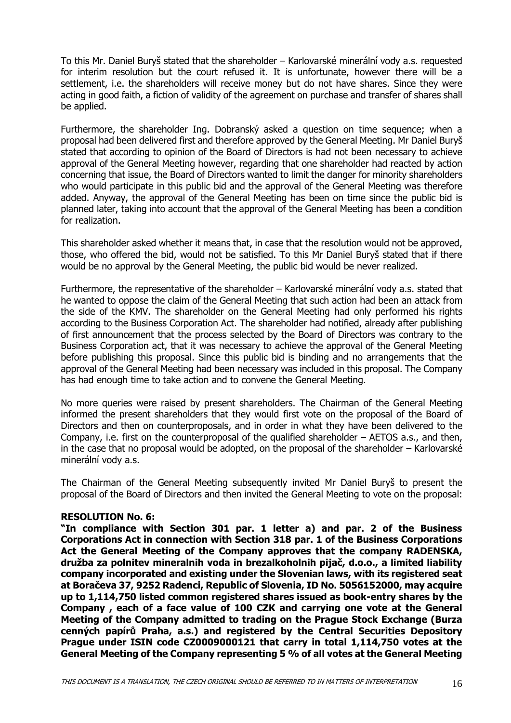To this Mr. Daniel Buryš stated that the shareholder – Karlovarské minerální vody a.s. requested for interim resolution but the court refused it. It is unfortunate, however there will be a settlement, i.e. the shareholders will receive money but do not have shares. Since they were acting in good faith, a fiction of validity of the agreement on purchase and transfer of shares shall be applied.

Furthermore, the shareholder Ing. Dobranský asked a question on time sequence; when a proposal had been delivered first and therefore approved by the General Meeting. Mr Daniel Buryš stated that according to opinion of the Board of Directors is had not been necessary to achieve approval of the General Meeting however, regarding that one shareholder had reacted by action concerning that issue, the Board of Directors wanted to limit the danger for minority shareholders who would participate in this public bid and the approval of the General Meeting was therefore added. Anyway, the approval of the General Meeting has been on time since the public bid is planned later, taking into account that the approval of the General Meeting has been a condition for realization.

This shareholder asked whether it means that, in case that the resolution would not be approved, those, who offered the bid, would not be satisfied. To this Mr Daniel Buryš stated that if there would be no approval by the General Meeting, the public bid would be never realized.

Furthermore, the representative of the shareholder – Karlovarské minerální vody a.s. stated that he wanted to oppose the claim of the General Meeting that such action had been an attack from the side of the KMV. The shareholder on the General Meeting had only performed his rights according to the Business Corporation Act. The shareholder had notified, already after publishing of first announcement that the process selected by the Board of Directors was contrary to the Business Corporation act, that it was necessary to achieve the approval of the General Meeting before publishing this proposal. Since this public bid is binding and no arrangements that the approval of the General Meeting had been necessary was included in this proposal. The Company has had enough time to take action and to convene the General Meeting.

No more queries were raised by present shareholders. The Chairman of the General Meeting informed the present shareholders that they would first vote on the proposal of the Board of Directors and then on counterproposals, and in order in what they have been delivered to the Company, i.e. first on the counterproposal of the qualified shareholder – AETOS a.s., and then, in the case that no proposal would be adopted, on the proposal of the shareholder – Karlovarské minerální vody a.s.

The Chairman of the General Meeting subsequently invited Mr Daniel Buryš to present the proposal of the Board of Directors and then invited the General Meeting to vote on the proposal:

### **RESOLUTION No. 6:**

**"In compliance with Section 301 par. 1 letter a) and par. 2 of the Business Corporations Act in connection with Section 318 par. 1 of the Business Corporations Act the General Meeting of the Company approves that the company RADENSKA, družba za polnitev mineralnih voda in brezalkoholnih pijač, d.o.o., a limited liability company incorporated and existing under the Slovenian laws, with its registered seat at Boračeva 37, 9252 Radenci, Republic of Slovenia, ID No. 5056152000, may acquire up to 1,114,750 listed common registered shares issued as book-entry shares by the Company , each of a face value of 100 CZK and carrying one vote at the General Meeting of the Company admitted to trading on the Prague Stock Exchange (Burza cenných papírů Praha, a.s.) and registered by the Central Securities Depository Prague under ISIN code CZ0009000121 that carry in total 1,114,750 votes at the General Meeting of the Company representing 5 % of all votes at the General Meeting**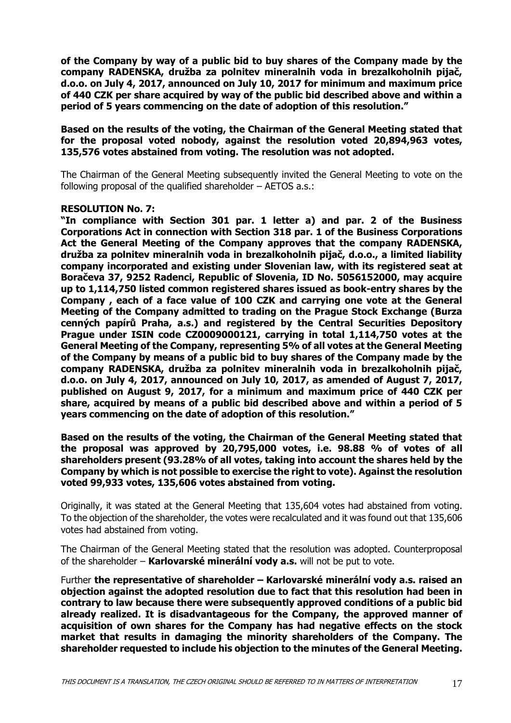**of the Company by way of a public bid to buy shares of the Company made by the company RADENSKA, družba za polnitev mineralnih voda in brezalkoholnih pijač, d.o.o. on July 4, 2017, announced on July 10, 2017 for minimum and maximum price of 440 CZK per share acquired by way of the public bid described above and within a period of 5 years commencing on the date of adoption of this resolution."**

**Based on the results of the voting, the Chairman of the General Meeting stated that for the proposal voted nobody, against the resolution voted 20,894,963 votes, 135,576 votes abstained from voting. The resolution was not adopted.** 

The Chairman of the General Meeting subsequently invited the General Meeting to vote on the following proposal of the qualified shareholder – AETOS a.s.:

### **RESOLUTION No. 7:**

**"In compliance with Section 301 par. 1 letter a) and par. 2 of the Business Corporations Act in connection with Section 318 par. 1 of the Business Corporations Act the General Meeting of the Company approves that the company RADENSKA, družba za polnitev mineralnih voda in brezalkoholnih pijač, d.o.o., a limited liability company incorporated and existing under Slovenian law, with its registered seat at Boračeva 37, 9252 Radenci, Republic of Slovenia, ID No. 5056152000, may acquire up to 1,114,750 listed common registered shares issued as book-entry shares by the Company , each of a face value of 100 CZK and carrying one vote at the General Meeting of the Company admitted to trading on the Prague Stock Exchange (Burza cenných papírů Praha, a.s.) and registered by the Central Securities Depository Prague under ISIN code CZ0009000121, carrying in total 1,114,750 votes at the General Meeting of the Company, representing 5% of all votes at the General Meeting of the Company by means of a public bid to buy shares of the Company made by the company RADENSKA, družba za polnitev mineralnih voda in brezalkoholnih pijač, d.o.o. on July 4, 2017, announced on July 10, 2017, as amended of August 7, 2017, published on August 9, 2017, for a minimum and maximum price of 440 CZK per share, acquired by means of a public bid described above and within a period of 5 years commencing on the date of adoption of this resolution."**

**Based on the results of the voting, the Chairman of the General Meeting stated that the proposal was approved by 20,795,000 votes, i.e. 98.88 % of votes of all shareholders present (93.28% of all votes, taking into account the shares held by the Company by which is not possible to exercise the right to vote). Against the resolution voted 99,933 votes, 135,606 votes abstained from voting.** 

Originally, it was stated at the General Meeting that 135,604 votes had abstained from voting. To the objection of the shareholder, the votes were recalculated and it was found out that 135,606 votes had abstained from voting.

The Chairman of the General Meeting stated that the resolution was adopted. Counterproposal of the shareholder – **Karlovarské minerální vody a.s.** will not be put to vote.

Further **the representative of shareholder – Karlovarské minerální vody a.s. raised an objection against the adopted resolution due to fact that this resolution had been in contrary to law because there were subsequently approved conditions of a public bid already realized. It is disadvantageous for the Company, the approved manner of acquisition of own shares for the Company has had negative effects on the stock market that results in damaging the minority shareholders of the Company. The shareholder requested to include his objection to the minutes of the General Meeting.**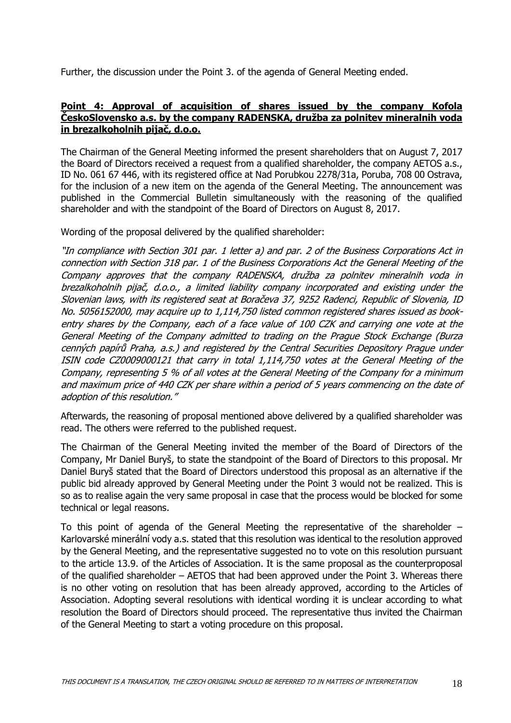Further, the discussion under the Point 3. of the agenda of General Meeting ended.

### **Point 4: Approval of acquisition of shares issued by the company Kofola ČeskoSlovensko a.s. by the company RADENSKA, družba za polnitev mineralnih voda in brezalkoholnih pijač, d.o.o.**

The Chairman of the General Meeting informed the present shareholders that on August 7, 2017 the Board of Directors received a request from a qualified shareholder, the company AETOS a.s., ID No. 061 67 446, with its registered office at Nad Porubkou 2278/31a, Poruba, 708 00 Ostrava, for the inclusion of a new item on the agenda of the General Meeting. The announcement was published in the Commercial Bulletin simultaneously with the reasoning of the qualified shareholder and with the standpoint of the Board of Directors on August 8, 2017.

Wording of the proposal delivered by the qualified shareholder:

"In compliance with Section 301 par. 1 letter a) and par. 2 of the Business Corporations Act in connection with Section 318 par. 1 of the Business Corporations Act the General Meeting of the Company approves that the company RADENSKA, družba za polnitev mineralnih voda in brezalkoholnih pijač, d.o.o., a limited liability company incorporated and existing under the Slovenian laws, with its registered seat at Boračeva 37, 9252 Radenci, Republic of Slovenia, ID No. 5056152000, may acquire up to 1,114,750 listed common registered shares issued as bookentry shares by the Company, each of a face value of 100 CZK and carrying one vote at the General Meeting of the Company admitted to trading on the Prague Stock Exchange (Burza cenných papírů Praha, a.s.) and registered by the Central Securities Depository Prague under ISIN code CZ0009000121 that carry in total 1,114,750 votes at the General Meeting of the Company, representing 5 % of all votes at the General Meeting of the Company for a minimum and maximum price of 440 CZK per share within a period of 5 years commencing on the date of adoption of this resolution."

Afterwards, the reasoning of proposal mentioned above delivered by a qualified shareholder was read. The others were referred to the published request.

The Chairman of the General Meeting invited the member of the Board of Directors of the Company, Mr Daniel Buryš, to state the standpoint of the Board of Directors to this proposal. Mr Daniel Buryš stated that the Board of Directors understood this proposal as an alternative if the public bid already approved by General Meeting under the Point 3 would not be realized. This is so as to realise again the very same proposal in case that the process would be blocked for some technical or legal reasons.

To this point of agenda of the General Meeting the representative of the shareholder  $-$ Karlovarské minerální vody a.s. stated that this resolution was identical to the resolution approved by the General Meeting, and the representative suggested no to vote on this resolution pursuant to the article 13.9. of the Articles of Association. It is the same proposal as the counterproposal of the qualified shareholder – AETOS that had been approved under the Point 3. Whereas there is no other voting on resolution that has been already approved, according to the Articles of Association. Adopting several resolutions with identical wording it is unclear according to what resolution the Board of Directors should proceed. The representative thus invited the Chairman of the General Meeting to start a voting procedure on this proposal.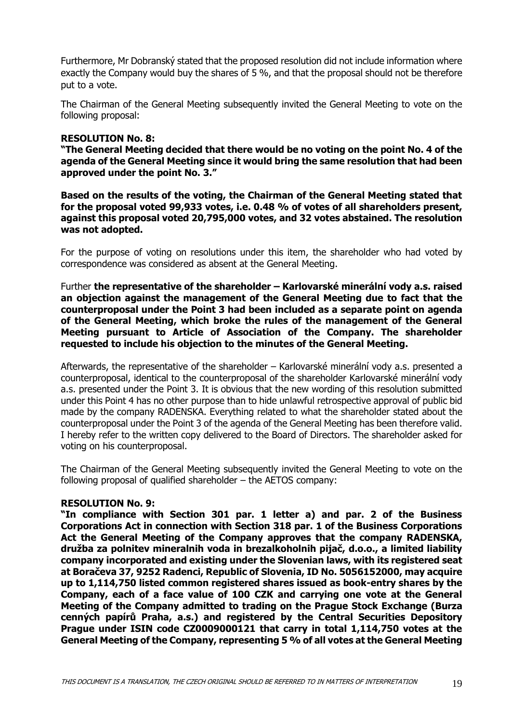Furthermore, Mr Dobranský stated that the proposed resolution did not include information where exactly the Company would buy the shares of 5 %, and that the proposal should not be therefore put to a vote.

The Chairman of the General Meeting subsequently invited the General Meeting to vote on the following proposal:

#### **RESOLUTION No. 8:**

**"The General Meeting decided that there would be no voting on the point No. 4 of the agenda of the General Meeting since it would bring the same resolution that had been approved under the point No. 3."**

**Based on the results of the voting, the Chairman of the General Meeting stated that for the proposal voted 99,933 votes, i.e. 0.48 % of votes of all shareholders present, against this proposal voted 20,795,000 votes, and 32 votes abstained. The resolution was not adopted.** 

For the purpose of voting on resolutions under this item, the shareholder who had voted by correspondence was considered as absent at the General Meeting.

Further **the representative of the shareholder – Karlovarské minerální vody a.s. raised an objection against the management of the General Meeting due to fact that the counterproposal under the Point 3 had been included as a separate point on agenda of the General Meeting, which broke the rules of the management of the General Meeting pursuant to Article of Association of the Company. The shareholder requested to include his objection to the minutes of the General Meeting.**

Afterwards, the representative of the shareholder – Karlovarské minerální vody a.s. presented a counterproposal, identical to the counterproposal of the shareholder Karlovarské minerální vody a.s. presented under the Point 3. It is obvious that the new wording of this resolution submitted under this Point 4 has no other purpose than to hide unlawful retrospective approval of public bid made by the company RADENSKA. Everything related to what the shareholder stated about the counterproposal under the Point 3 of the agenda of the General Meeting has been therefore valid. I hereby refer to the written copy delivered to the Board of Directors. The shareholder asked for voting on his counterproposal.

The Chairman of the General Meeting subsequently invited the General Meeting to vote on the following proposal of qualified shareholder – the AETOS company:

### **RESOLUTION No. 9:**

**"In compliance with Section 301 par. 1 letter a) and par. 2 of the Business Corporations Act in connection with Section 318 par. 1 of the Business Corporations Act the General Meeting of the Company approves that the company RADENSKA, družba za polnitev mineralnih voda in brezalkoholnih pijač, d.o.o., a limited liability company incorporated and existing under the Slovenian laws, with its registered seat at Boračeva 37, 9252 Radenci, Republic of Slovenia, ID No. 5056152000, may acquire up to 1,114,750 listed common registered shares issued as book-entry shares by the Company, each of a face value of 100 CZK and carrying one vote at the General Meeting of the Company admitted to trading on the Prague Stock Exchange (Burza cenných papírů Praha, a.s.) and registered by the Central Securities Depository Prague under ISIN code CZ0009000121 that carry in total 1,114,750 votes at the General Meeting of the Company, representing 5 % of all votes at the General Meeting**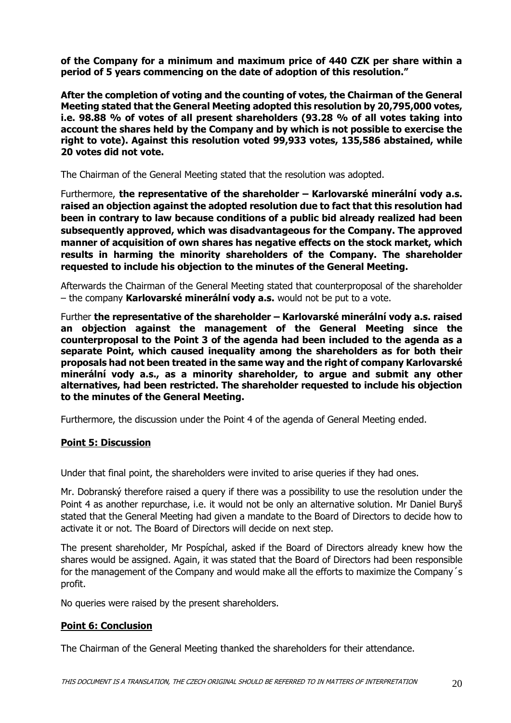**of the Company for a minimum and maximum price of 440 CZK per share within a period of 5 years commencing on the date of adoption of this resolution."**

**After the completion of voting and the counting of votes, the Chairman of the General Meeting stated that the General Meeting adopted this resolution by 20,795,000 votes, i.e. 98.88 % of votes of all present shareholders (93.28 % of all votes taking into account the shares held by the Company and by which is not possible to exercise the right to vote). Against this resolution voted 99,933 votes, 135,586 abstained, while 20 votes did not vote.** 

The Chairman of the General Meeting stated that the resolution was adopted.

Furthermore, **the representative of the shareholder – Karlovarské minerální vody a.s. raised an objection against the adopted resolution due to fact that this resolution had been in contrary to law because conditions of a public bid already realized had been subsequently approved, which was disadvantageous for the Company. The approved manner of acquisition of own shares has negative effects on the stock market, which results in harming the minority shareholders of the Company. The shareholder requested to include his objection to the minutes of the General Meeting.**

Afterwards the Chairman of the General Meeting stated that counterproposal of the shareholder – the company **Karlovarské minerální vody a.s.** would not be put to a vote.

Further **the representative of the shareholder – Karlovarské minerální vody a.s. raised an objection against the management of the General Meeting since the counterproposal to the Point 3 of the agenda had been included to the agenda as a separate Point, which caused inequality among the shareholders as for both their proposals had not been treated in the same way and the right of company Karlovarské minerální vody a.s., as a minority shareholder, to argue and submit any other alternatives, had been restricted. The shareholder requested to include his objection to the minutes of the General Meeting.**

Furthermore, the discussion under the Point 4 of the agenda of General Meeting ended.

### **Point 5: Discussion**

Under that final point, the shareholders were invited to arise queries if they had ones.

Mr. Dobranský therefore raised a query if there was a possibility to use the resolution under the Point 4 as another repurchase, i.e. it would not be only an alternative solution. Mr Daniel Buryš stated that the General Meeting had given a mandate to the Board of Directors to decide how to activate it or not. The Board of Directors will decide on next step.

The present shareholder, Mr Pospíchal, asked if the Board of Directors already knew how the shares would be assigned. Again, it was stated that the Board of Directors had been responsible for the management of the Company and would make all the efforts to maximize the Company´s profit.

No queries were raised by the present shareholders.

# **Point 6: Conclusion**

The Chairman of the General Meeting thanked the shareholders for their attendance.